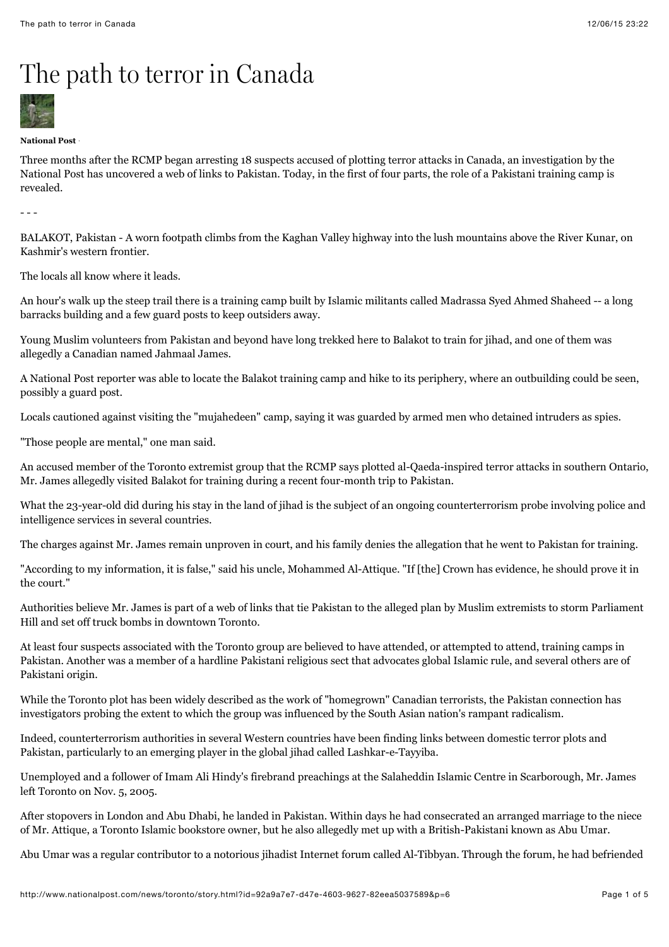## The path to terror in Canada



## **National Post** ·

Three months after the RCMP began arresting 18 suspects accused of plotting terror attacks in Canada, an investigation by the National Post has uncovered a web of links to Pakistan. Today, in the first of four parts, the role of a Pakistani training camp is revealed.

- - -

BALAKOT, Pakistan - A worn footpath climbs from the Kaghan Valley highway into the lush mountains above the River Kunar, on Kashmir's western frontier.

The locals all know where it leads.

An hour's walk up the steep trail there is a training camp built by Islamic militants called Madrassa Syed Ahmed Shaheed -- a long barracks building and a few guard posts to keep outsiders away.

Young Muslim volunteers from Pakistan and beyond have long trekked here to Balakot to train for jihad, and one of them was allegedly a Canadian named Jahmaal James.

A National Post reporter was able to locate the Balakot training camp and hike to its periphery, where an outbuilding could be seen, possibly a guard post.

Locals cautioned against visiting the "mujahedeen" camp, saying it was guarded by armed men who detained intruders as spies.

"Those people are mental," one man said.

An accused member of the Toronto extremist group that the RCMP says plotted al-Qaeda-inspired terror attacks in southern Ontario, Mr. James allegedly visited Balakot for training during a recent four-month trip to Pakistan.

What the 23-year-old did during his stay in the land of jihad is the subject of an ongoing counterterrorism probe involving police and intelligence services in several countries.

The charges against Mr. James remain unproven in court, and his family denies the allegation that he went to Pakistan for training.

"According to my information, it is false," said his uncle, Mohammed Al-Attique. "If [the] Crown has evidence, he should prove it in the court."

Authorities believe Mr. James is part of a web of links that tie Pakistan to the alleged plan by Muslim extremists to storm Parliament Hill and set off truck bombs in downtown Toronto.

At least four suspects associated with the Toronto group are believed to have attended, or attempted to attend, training camps in Pakistan. Another was a member of a hardline Pakistani religious sect that advocates global Islamic rule, and several others are of Pakistani origin.

While the Toronto plot has been widely described as the work of "homegrown" Canadian terrorists, the Pakistan connection has investigators probing the extent to which the group was influenced by the South Asian nation's rampant radicalism.

Indeed, counterterrorism authorities in several Western countries have been finding links between domestic terror plots and Pakistan, particularly to an emerging player in the global jihad called Lashkar-e-Tayyiba.

Unemployed and a follower of Imam Ali Hindy's firebrand preachings at the Salaheddin Islamic Centre in Scarborough, Mr. James left Toronto on Nov. 5, 2005.

After stopovers in London and Abu Dhabi, he landed in Pakistan. Within days he had consecrated an arranged marriage to the niece of Mr. Attique, a Toronto Islamic bookstore owner, but he also allegedly met up with a British-Pakistani known as Abu Umar.

Abu Umar was a regular contributor to a notorious jihadist Internet forum called Al-Tibbyan. Through the forum, he had befriended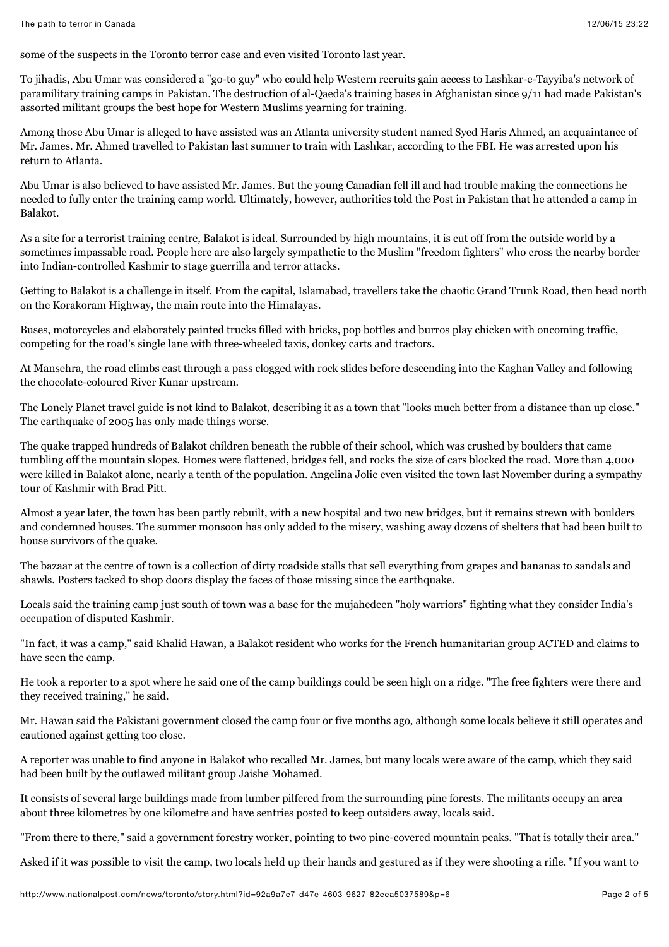some of the suspects in the Toronto terror case and even visited Toronto last year.

To jihadis, Abu Umar was considered a "go-to guy" who could help Western recruits gain access to Lashkar-e-Tayyiba's network of paramilitary training camps in Pakistan. The destruction of al-Qaeda's training bases in Afghanistan since 9/11 had made Pakistan's assorted militant groups the best hope for Western Muslims yearning for training.

Among those Abu Umar is alleged to have assisted was an Atlanta university student named Syed Haris Ahmed, an acquaintance of Mr. James. Mr. Ahmed travelled to Pakistan last summer to train with Lashkar, according to the FBI. He was arrested upon his return to Atlanta.

Abu Umar is also believed to have assisted Mr. James. But the young Canadian fell ill and had trouble making the connections he needed to fully enter the training camp world. Ultimately, however, authorities told the Post in Pakistan that he attended a camp in Balakot.

As a site for a terrorist training centre, Balakot is ideal. Surrounded by high mountains, it is cut off from the outside world by a sometimes impassable road. People here are also largely sympathetic to the Muslim "freedom fighters" who cross the nearby border into Indian-controlled Kashmir to stage guerrilla and terror attacks.

Getting to Balakot is a challenge in itself. From the capital, Islamabad, travellers take the chaotic Grand Trunk Road, then head north on the Korakoram Highway, the main route into the Himalayas.

Buses, motorcycles and elaborately painted trucks filled with bricks, pop bottles and burros play chicken with oncoming traffic, competing for the road's single lane with three-wheeled taxis, donkey carts and tractors.

At Mansehra, the road climbs east through a pass clogged with rock slides before descending into the Kaghan Valley and following the chocolate-coloured River Kunar upstream.

The Lonely Planet travel guide is not kind to Balakot, describing it as a town that "looks much better from a distance than up close." The earthquake of 2005 has only made things worse.

The quake trapped hundreds of Balakot children beneath the rubble of their school, which was crushed by boulders that came tumbling off the mountain slopes. Homes were flattened, bridges fell, and rocks the size of cars blocked the road. More than 4,000 were killed in Balakot alone, nearly a tenth of the population. Angelina Jolie even visited the town last November during a sympathy tour of Kashmir with Brad Pitt.

Almost a year later, the town has been partly rebuilt, with a new hospital and two new bridges, but it remains strewn with boulders and condemned houses. The summer monsoon has only added to the misery, washing away dozens of shelters that had been built to house survivors of the quake.

The bazaar at the centre of town is a collection of dirty roadside stalls that sell everything from grapes and bananas to sandals and shawls. Posters tacked to shop doors display the faces of those missing since the earthquake.

Locals said the training camp just south of town was a base for the mujahedeen "holy warriors" fighting what they consider India's occupation of disputed Kashmir.

"In fact, it was a camp," said Khalid Hawan, a Balakot resident who works for the French humanitarian group ACTED and claims to have seen the camp.

He took a reporter to a spot where he said one of the camp buildings could be seen high on a ridge. "The free fighters were there and they received training," he said.

Mr. Hawan said the Pakistani government closed the camp four or five months ago, although some locals believe it still operates and cautioned against getting too close.

A reporter was unable to find anyone in Balakot who recalled Mr. James, but many locals were aware of the camp, which they said had been built by the outlawed militant group Jaishe Mohamed.

It consists of several large buildings made from lumber pilfered from the surrounding pine forests. The militants occupy an area about three kilometres by one kilometre and have sentries posted to keep outsiders away, locals said.

"From there to there," said a government forestry worker, pointing to two pine-covered mountain peaks. "That is totally their area."

Asked if it was possible to visit the camp, two locals held up their hands and gestured as if they were shooting a rifle. "If you want to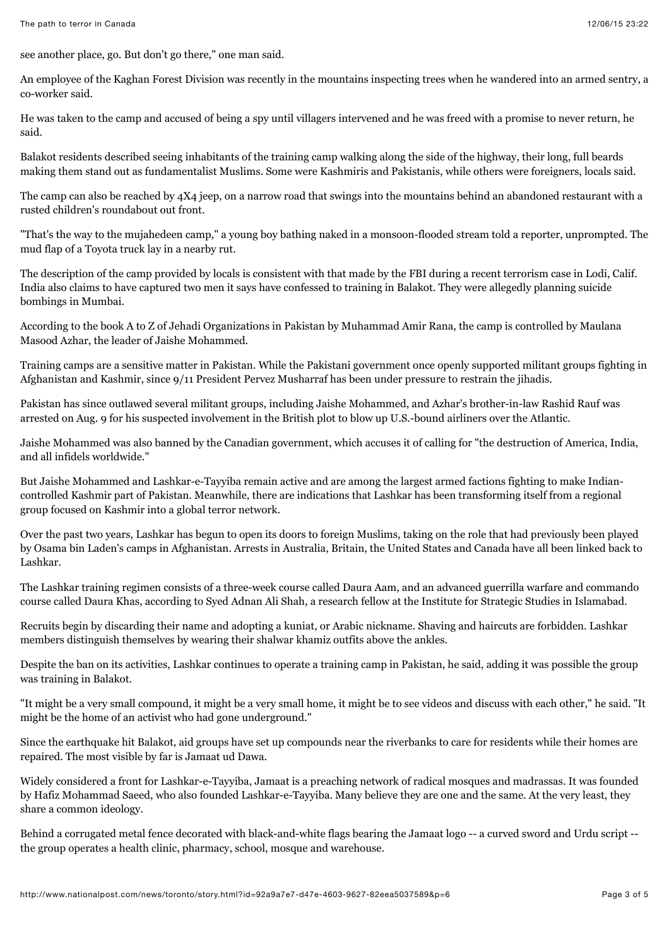see another place, go. But don't go there," one man said.

An employee of the Kaghan Forest Division was recently in the mountains inspecting trees when he wandered into an armed sentry, a co-worker said.

He was taken to the camp and accused of being a spy until villagers intervened and he was freed with a promise to never return, he said.

Balakot residents described seeing inhabitants of the training camp walking along the side of the highway, their long, full beards making them stand out as fundamentalist Muslims. Some were Kashmiris and Pakistanis, while others were foreigners, locals said.

The camp can also be reached by 4X4 jeep, on a narrow road that swings into the mountains behind an abandoned restaurant with a rusted children's roundabout out front.

"That's the way to the mujahedeen camp," a young boy bathing naked in a monsoon-flooded stream told a reporter, unprompted. The mud flap of a Toyota truck lay in a nearby rut.

The description of the camp provided by locals is consistent with that made by the FBI during a recent terrorism case in Lodi, Calif. India also claims to have captured two men it says have confessed to training in Balakot. They were allegedly planning suicide bombings in Mumbai.

According to the book A to Z of Jehadi Organizations in Pakistan by Muhammad Amir Rana, the camp is controlled by Maulana Masood Azhar, the leader of Jaishe Mohammed.

Training camps are a sensitive matter in Pakistan. While the Pakistani government once openly supported militant groups fighting in Afghanistan and Kashmir, since 9/11 President Pervez Musharraf has been under pressure to restrain the jihadis.

Pakistan has since outlawed several militant groups, including Jaishe Mohammed, and Azhar's brother-in-law Rashid Rauf was arrested on Aug. 9 for his suspected involvement in the British plot to blow up U.S.-bound airliners over the Atlantic.

Jaishe Mohammed was also banned by the Canadian government, which accuses it of calling for "the destruction of America, India, and all infidels worldwide."

But Jaishe Mohammed and Lashkar-e-Tayyiba remain active and are among the largest armed factions fighting to make Indiancontrolled Kashmir part of Pakistan. Meanwhile, there are indications that Lashkar has been transforming itself from a regional group focused on Kashmir into a global terror network.

Over the past two years, Lashkar has begun to open its doors to foreign Muslims, taking on the role that had previously been played by Osama bin Laden's camps in Afghanistan. Arrests in Australia, Britain, the United States and Canada have all been linked back to Lashkar.

The Lashkar training regimen consists of a three-week course called Daura Aam, and an advanced guerrilla warfare and commando course called Daura Khas, according to Syed Adnan Ali Shah, a research fellow at the Institute for Strategic Studies in Islamabad.

Recruits begin by discarding their name and adopting a kuniat, or Arabic nickname. Shaving and haircuts are forbidden. Lashkar members distinguish themselves by wearing their shalwar khamiz outfits above the ankles.

Despite the ban on its activities, Lashkar continues to operate a training camp in Pakistan, he said, adding it was possible the group was training in Balakot.

"It might be a very small compound, it might be a very small home, it might be to see videos and discuss with each other," he said. "It might be the home of an activist who had gone underground."

Since the earthquake hit Balakot, aid groups have set up compounds near the riverbanks to care for residents while their homes are repaired. The most visible by far is Jamaat ud Dawa.

Widely considered a front for Lashkar-e-Tayyiba, Jamaat is a preaching network of radical mosques and madrassas. It was founded by Hafiz Mohammad Saeed, who also founded Lashkar-e-Tayyiba. Many believe they are one and the same. At the very least, they share a common ideology.

Behind a corrugated metal fence decorated with black-and-white flags bearing the Jamaat logo -- a curved sword and Urdu script - the group operates a health clinic, pharmacy, school, mosque and warehouse.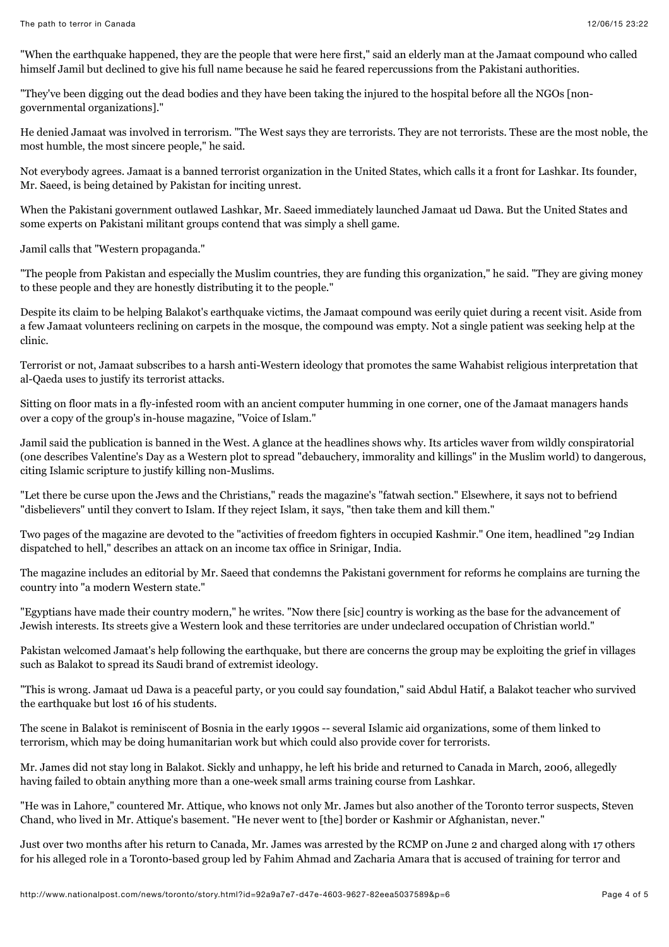"When the earthquake happened, they are the people that were here first," said an elderly man at the Jamaat compound who called himself Jamil but declined to give his full name because he said he feared repercussions from the Pakistani authorities.

"They've been digging out the dead bodies and they have been taking the injured to the hospital before all the NGOs [nongovernmental organizations]."

He denied Jamaat was involved in terrorism. "The West says they are terrorists. They are not terrorists. These are the most noble, the most humble, the most sincere people," he said.

Not everybody agrees. Jamaat is a banned terrorist organization in the United States, which calls it a front for Lashkar. Its founder, Mr. Saeed, is being detained by Pakistan for inciting unrest.

When the Pakistani government outlawed Lashkar, Mr. Saeed immediately launched Jamaat ud Dawa. But the United States and some experts on Pakistani militant groups contend that was simply a shell game.

Jamil calls that "Western propaganda."

"The people from Pakistan and especially the Muslim countries, they are funding this organization," he said. "They are giving money to these people and they are honestly distributing it to the people."

Despite its claim to be helping Balakot's earthquake victims, the Jamaat compound was eerily quiet during a recent visit. Aside from a few Jamaat volunteers reclining on carpets in the mosque, the compound was empty. Not a single patient was seeking help at the clinic.

Terrorist or not, Jamaat subscribes to a harsh anti-Western ideology that promotes the same Wahabist religious interpretation that al-Qaeda uses to justify its terrorist attacks.

Sitting on floor mats in a fly-infested room with an ancient computer humming in one corner, one of the Jamaat managers hands over a copy of the group's in-house magazine, "Voice of Islam."

Jamil said the publication is banned in the West. A glance at the headlines shows why. Its articles waver from wildly conspiratorial (one describes Valentine's Day as a Western plot to spread "debauchery, immorality and killings" in the Muslim world) to dangerous, citing Islamic scripture to justify killing non-Muslims.

"Let there be curse upon the Jews and the Christians," reads the magazine's "fatwah section." Elsewhere, it says not to befriend "disbelievers" until they convert to Islam. If they reject Islam, it says, "then take them and kill them."

Two pages of the magazine are devoted to the "activities of freedom fighters in occupied Kashmir." One item, headlined "29 Indian dispatched to hell," describes an attack on an income tax office in Srinigar, India.

The magazine includes an editorial by Mr. Saeed that condemns the Pakistani government for reforms he complains are turning the country into "a modern Western state."

"Egyptians have made their country modern," he writes. "Now there [sic] country is working as the base for the advancement of Jewish interests. Its streets give a Western look and these territories are under undeclared occupation of Christian world."

Pakistan welcomed Jamaat's help following the earthquake, but there are concerns the group may be exploiting the grief in villages such as Balakot to spread its Saudi brand of extremist ideology.

"This is wrong. Jamaat ud Dawa is a peaceful party, or you could say foundation," said Abdul Hatif, a Balakot teacher who survived the earthquake but lost 16 of his students.

The scene in Balakot is reminiscent of Bosnia in the early 1990s -- several Islamic aid organizations, some of them linked to terrorism, which may be doing humanitarian work but which could also provide cover for terrorists.

Mr. James did not stay long in Balakot. Sickly and unhappy, he left his bride and returned to Canada in March, 2006, allegedly having failed to obtain anything more than a one-week small arms training course from Lashkar.

"He was in Lahore," countered Mr. Attique, who knows not only Mr. James but also another of the Toronto terror suspects, Steven Chand, who lived in Mr. Attique's basement. "He never went to [the] border or Kashmir or Afghanistan, never."

Just over two months after his return to Canada, Mr. James was arrested by the RCMP on June 2 and charged along with 17 others for his alleged role in a Toronto-based group led by Fahim Ahmad and Zacharia Amara that is accused of training for terror and